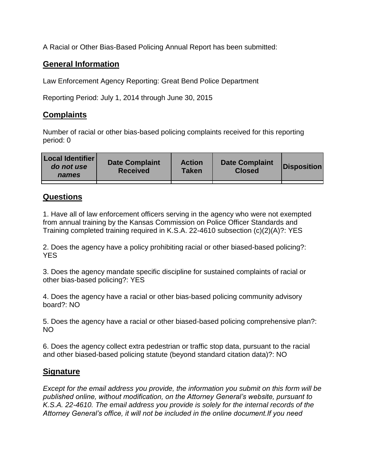A Racial or Other Bias-Based Policing Annual Report has been submitted:

## **General Information**

Law Enforcement Agency Reporting: Great Bend Police Department

Reporting Period: July 1, 2014 through June 30, 2015

## **Complaints**

Number of racial or other bias-based policing complaints received for this reporting period: 0

| <b>Local Identifier</b><br>do not use<br>names | <b>Date Complaint</b><br><b>Received</b> | <b>Action</b><br><b>Taken</b> | <b>Date Complaint</b><br><b>Closed</b> | Disposition |
|------------------------------------------------|------------------------------------------|-------------------------------|----------------------------------------|-------------|
|                                                |                                          |                               |                                        |             |

## **Questions**

1. Have all of law enforcement officers serving in the agency who were not exempted from annual training by the Kansas Commission on Police Officer Standards and Training completed training required in K.S.A. 22-4610 subsection (c)(2)(A)?: YES

2. Does the agency have a policy prohibiting racial or other biased-based policing?: YES

3. Does the agency mandate specific discipline for sustained complaints of racial or other bias-based policing?: YES

4. Does the agency have a racial or other bias-based policing community advisory board?: NO

5. Does the agency have a racial or other biased-based policing comprehensive plan?: NO

6. Does the agency collect extra pedestrian or traffic stop data, pursuant to the racial and other biased-based policing statute (beyond standard citation data)?: NO

## **Signature**

*Except for the email address you provide, the information you submit on this form will be published online, without modification, on the Attorney General's website, pursuant to K.S.A. 22-4610. The email address you provide is solely for the internal records of the Attorney General's office, it will not be included in the online document.If you need*